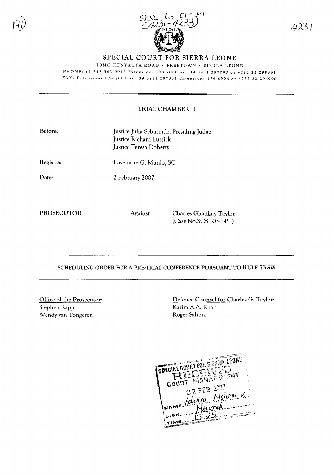

SPECIAL COURT FOR SIERRA LEONE

JOMO KENYATTA ROAD · FREETOWN · SIERRA LEONE

PHONE: +1 212 963 9915 Extension: 178 7000 or +39 0831 257000 or +232 22 295995 FAX: Extension: 178 7001 or +39 0831 257001 Extension: 174 6996 or +232 22 295996

## TRIAL CHAMBER II

| Before:    | Justice Julia Sebutinde, Presiding Judge<br>Justice Richard Lussick<br>Justice Teresa Doherty |
|------------|-----------------------------------------------------------------------------------------------|
| Registrar: | Lovemore G. Munlo, SC                                                                         |

Date:

2 February 2007

PROSECUTOR Against Charles Ghankay Taylor (Case No.SCSL-03-1-PT)

SCHEDULING ORDER FOR A PRE-TRIAL CONFERENCE PURSUANT TO RULE *73BIS*

Office of the Prosecutor: Stephen Rapp Wendy van Tongeren

Defence Counsel for Charles G. Taylor: Karim A.A. Khan Roger Sahota

SPECIAL DOURT FOR SIERRA LEONE **CELLY EVENT** - 6 COURT 02 FEB 2007 22 FEB 2007<br>Mixera Msimu K. ME SIGN TIME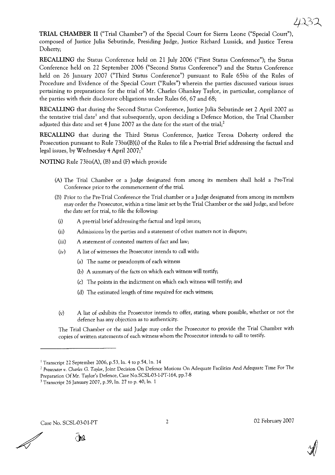**TRIAL CHAMBER II** ("Trial Chamber") of the Special Court for Sierra Leone ("Special Court"), composed of Justice Julia Sebutinde, Presiding Judge, Justice Richard Lussick, and Justice Teresa Doherty;

**RECALLING** the Status Conference held on 21 July 2006 ("First Status Conference"); the Status Conference held on 22 September 2006 ("Second Status Conference") and the Status Conference held on 26 January 2007 ("Third Status Conference") pursuant to Rule *65bis* of the Rules of Procedure and Evidence of the Special Court ("Rules") wherein the parties discussed various issues pertaining to preparations for the trial of Mr. Charles Ghankay Taylor, in particular, compliance of the parties with their disclosure obligations under Rules 66,67 and 68;

**RECALLING** that during the Second Status Conference, Justice Julia Sebutinde set 2 April 2007 as the tentative trial date<sup>1</sup> and that subsequently, upon deciding a Defence Motion, the Trial Chamber adjusted this date and set 4 June 2007 as the date for the start of the trial;<sup>2</sup>

**RECALLING** that during the Third Status Conference, Justice Teresa Doherty ordered the Prosecution pursuant to Rule 73bis(B)(i) of the Rules to file a Pre-trial Brief addressing the factual and legal issues, by Wednesday 4 April  $2007<sup>3</sup>$ 

**NOTING** Rule *73bis(A),* (B) and (F) which provide

- (A) The Trial Chamber or a Judge designated from among its members shall hold a Pre-Trial Conference prior to the commencement of the trial.
- (B) Prior to the Pre-Trial Conference the Trial chamber or a Judge designated from among its members may order the Prosecutor, within a time limit set by the Trial Chamber or the said Judge, and before the date set for trial, to file the following:
	- (i) A pre-trial brief addressing the factual and legal issues;
	- (ii) Admissions by the parties and a statement of other matters not in dispute;
	- (iii) A statement of contested matters of fact and law;
	- $(iv)$  A list of witnesses the Prosecutor intends to call with:
		- (a) The name or pseudonym of each witness
		- (b) A summary of the facts on which each witness will testify;
		- (c) The points in the indictment on which each witness will testify; and
		- (d) The estimated length of time required for each witness;
	- (v) A list of exhibits the Prosecutor intends to offer, stating, where possible, whether or not the defence has any objection as to authenticity.

The Trial Chamber or the said Judge may order the Prosecutor to provide the Trial Chamber with copies of written statements of each witness whom the Prosecutor intends to call to testify.

Case No. SCSL-03-01-PT 2 02 February 2007

<u>ne</u>



<sup>&</sup>lt;sup>1</sup> Transcript 22 September 2006, p.53, ln. 4 to p.54, ln. 14

*<sup>2</sup> Prosecutor v. Charles* G. *Taylor,* Joint Decision On Defence Motions On Adequate Facilities And Adequate Time For The Preparation Of Mr. Taylor's Defence, Case No.SCSL-03-1-PT-164, pp.7-8

<sup>3</sup> Transcript 26 January 2007, p.39, In. 27 to p. 40, In. 1